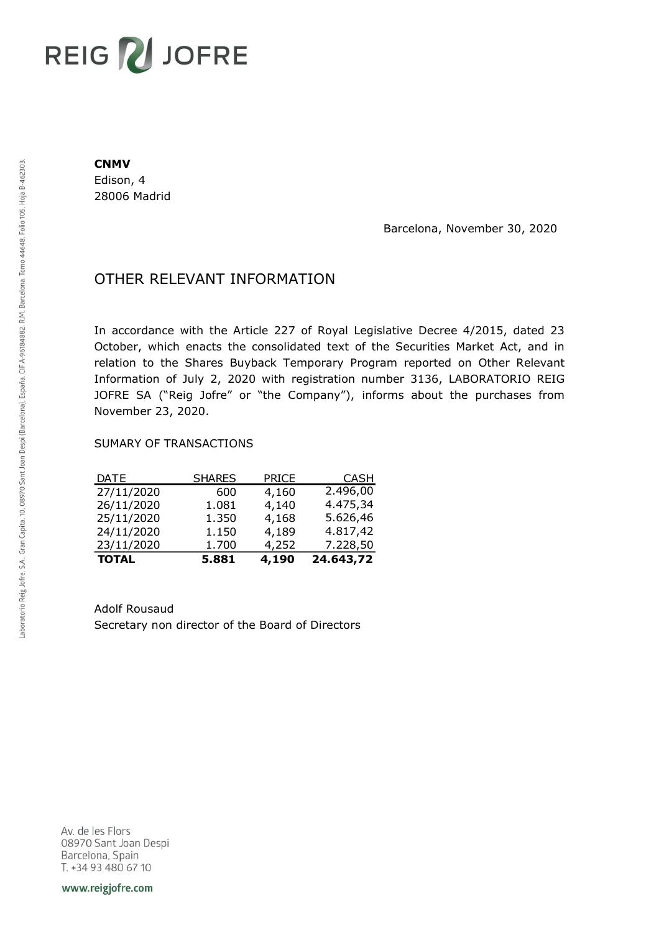## **REIG ZU JOFRE**

## **CNMV**

Edison, 4 28006 Madrid

Barcelona, November 30, 2020

## OTHER RELEVANT INFORMATION

In accordance with the Article 227 of Royal Legislative Decree 4/2015, dated 23 October, which enacts the consolidated text of the Securities Market Act, and in relation to the Shares Buyback Temporary Program reported on Other Relevant Information of July 2, 2020 with registration number 3136, LABORATORIO REIG JOFRE SA ("Reig Jofre" or "the Company"), informs about the purchases from November 23, 2020.

## SUMARY OF TRANSACTIONS

| <b>TOTAL</b> | 5.881         | 4,190        | 24.643,72   |
|--------------|---------------|--------------|-------------|
| 23/11/2020   | 1.700         | 4,252        | 7.228,50    |
| 24/11/2020   | 1.150         | 4,189        | 4.817,42    |
| 25/11/2020   | 1.350         | 4,168        | 5.626,46    |
| 26/11/2020   | 1.081         | 4,140        | 4.475,34    |
| 27/11/2020   | 600           | 4,160        | 2.496,00    |
| <b>DATE</b>  | <b>SHARES</b> | <b>PRICE</b> | <b>CASH</b> |

Adolf Rousaud Secretary non director of the Board of Directors

Av. de les Flors 08970 Sant Joan Despi Barcelona, Spain T. +34 93 480 67 10

www.reigjofre.com